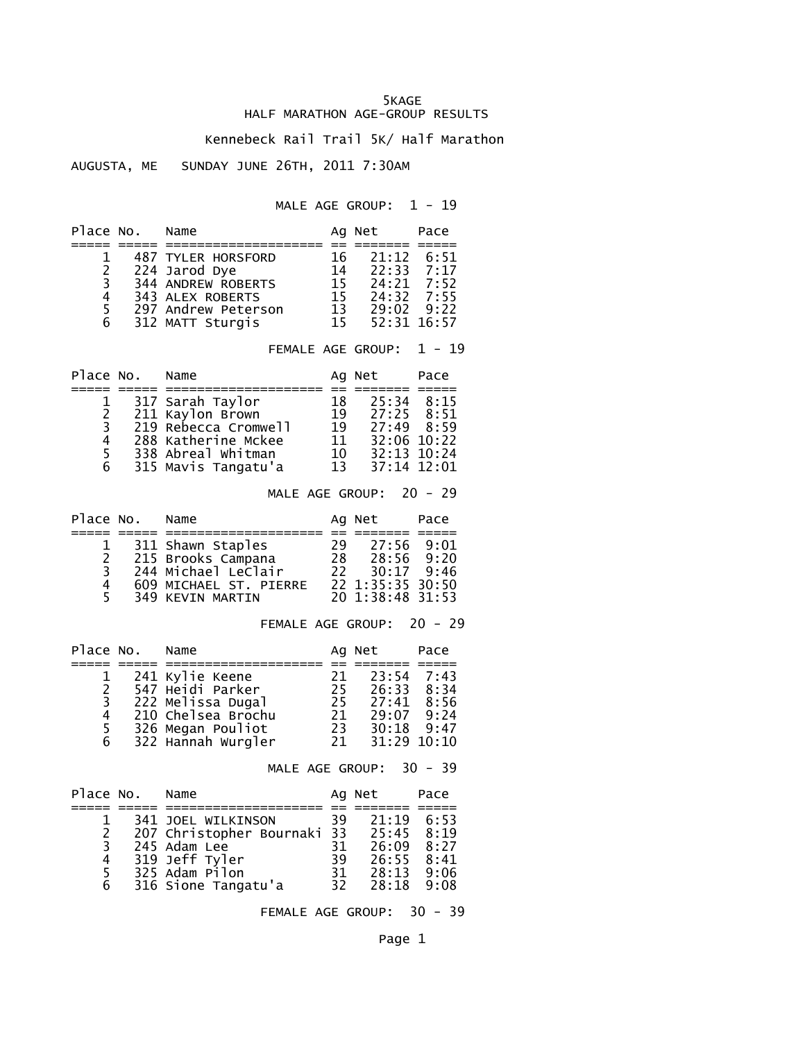## 5KAGE HALF MARATHON AGE-GROUP RESULTS

## Kennebeck Rail Trail 5K/ Half Marathon

## AUGUSTA, ME SUNDAY JUNE 26TH, 2011 7:30AM

MALE AGE GROUP:  $1 - 19$ 

| Place No.                       | Name                                                                                                                             |                                  | Ag Net                                                                                                | Pace     |
|---------------------------------|----------------------------------------------------------------------------------------------------------------------------------|----------------------------------|-------------------------------------------------------------------------------------------------------|----------|
| 1<br>$2\overline{3}$<br>4 5 6 6 | 487 TYLER HORSFORD<br>224 Jarod Dye<br>344 ANDREW ROBERTS<br>343 ALEX ROBERTS<br>297 Andrew Peterson<br>312 MATT Sturgis         | 16<br>14<br>15<br>15             | $21:12 \quad 6:51$<br>$22:33$ $7:17$<br>$24:21$ 7:52<br>15 24:32 7:55<br>13 29:02 9:22<br>52:31 16:57 |          |
|                                 |                                                                                                                                  |                                  | FEMALE AGE GROUP:                                                                                     | $1 - 19$ |
| Place No.                       | Name                                                                                                                             |                                  | Ag Net                                                                                                | Pace     |
| 123456                          | 317 Sarah Taylor<br>211 Kaylon Brown<br>219 Rebecca Cromwell<br>288 Katherine Mckee<br>338 Abreal Whitman<br>315 Mavis Tangatu'a | 18<br>19<br>19<br>11<br>10<br>13 | $25:34$ $8:15$<br>27:25 8:51<br>$27:49$ 8:59<br>32:06 10:22<br>32:13 10:24<br>37:14 12:01             |          |

MALE AGE GROUP: 20 - 29

| Place No. | Name                   |     | Ag Net           | Pace |
|-----------|------------------------|-----|------------------|------|
|           |                        |     |                  |      |
|           | 311 Shawn Staples      | 29  | 27:56            | 9:01 |
| 2         | 215 Brooks Campana     | 28. | 28:56 9:20       |      |
| 3         | 244 Michael Leclair    | 22. | 30:17            | 9:46 |
| 4         | 609 MICHAEL ST. PIERRE |     | 22 1:35:35 30:50 |      |
| 5.        | 349 KEVIN MARTIN       |     | 20 1:38:48 31:53 |      |

FEMALE AGE GROUP: 20 - 29

| Place No.      | Name               |     | Ag Net       | Pace |
|----------------|--------------------|-----|--------------|------|
|                |                    |     |              |      |
|                | 241 Kylie Keene    | 21  | $23:54$ 7:43 |      |
| $\mathcal{P}$  | 547 Heidi Parker   | 25. | 26:33        | 8:34 |
| $\mathbf{3}$   | 222 Melissa Dugal  | 25. | 27:41        | 8:56 |
| 4              | 210 Chelsea Brochu | 21  | 29:07        | 9:24 |
| 5 <sup>5</sup> | 326 Megan Pouliot  | 23  | 30:18        | 9:47 |
| 6              | 322 Hannah Wurgler | 21  | 31:29 10:10  |      |

MALE AGE GROUP: 30 - 39

| Place No. | Name                        |     | Ag Net | Pace |
|-----------|-----------------------------|-----|--------|------|
|           |                             |     |        |      |
|           | 341 JOEL WILKINSON          | 39  | 21:19  | 6:53 |
| 2         | 207 Christopher Bournaki 33 |     | 25:45  | 8:19 |
| 3         | 245 Adam Lee                | 31  | 26:09  | 8:27 |
| 4         | 319 Jeff Tyler              | 39  | 26:55  | 8:41 |
| 5.        | 325 Adam Pilon              | 31. | 28:13  | 9:06 |
| 6         | 316 Sione Tangatu'a         | 32. | 28:18  | 9:08 |

FEMALE AGE GROUP: 30 - 39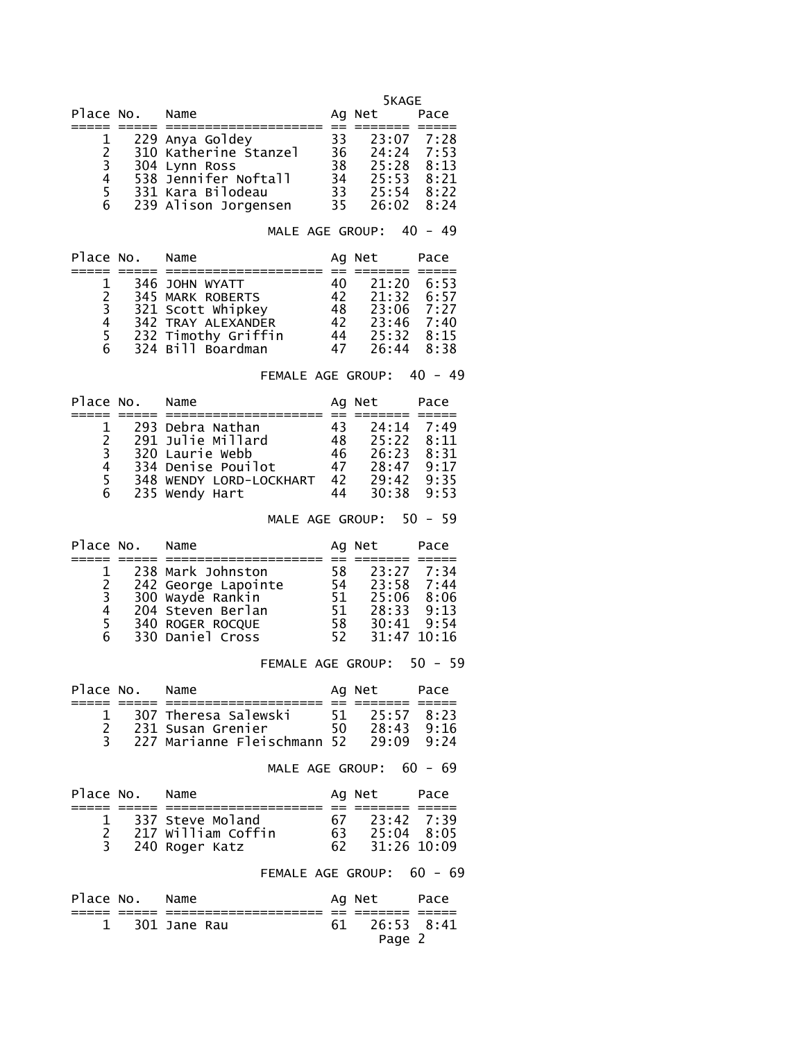5KAGE

| Place No.     | Name                  |     | Ag Net       | Pace |
|---------------|-----------------------|-----|--------------|------|
|               |                       |     |              |      |
|               | 229 Anya Goldey       | 33  | 23:07 7:28   |      |
| $\mathcal{P}$ | 310 Katherine Stanzel | 36. | $24:24$ 7:53 |      |
| 3             | 304 Lynn Ross         | 38  | 25:28        | 8:13 |
| 4             | 538 Jennifer Noftall  | 34  | 25:53 8:21   |      |
| 5.            | 331 Kara Bilodeau     | 33  | 25:54        | 8:22 |
| 6             | 239 Alison Jorgensen  | 35. | 26:02 8:24   |      |

MALE AGE GROUP: 40 - 49

| Place No.     | Name                |    | Ag Net             | Pace |
|---------------|---------------------|----|--------------------|------|
|               |                     |    |                    |      |
|               | 346 JOHN WYATT      | 40 | 21:20              | 6:53 |
| $\mathcal{P}$ | 345 MARK ROBERTS    | 42 | $21:32 \quad 6:57$ |      |
| 3             | 321 Scott Whipkey   | 48 | 23:06 7:27         |      |
| 4             | 342 TRAY ALEXANDER  | 42 | $23:46$ $7:40$     |      |
| 5.            | 232 Timothy Griffin | 44 | $25:32 \quad 8:15$ |      |
| 6             | 324 Bill Boardman   | 47 | 26:44 8:38         |      |

FEMALE AGE GROUP: 40 - 49

| Place No.      | Name                    |     | Ag Net         | Pace |
|----------------|-------------------------|-----|----------------|------|
|                |                         |     |                |      |
|                | 293 Debra Nathan        | 43  | 24:14          | 7:49 |
| $\overline{2}$ | 291 Julie Millard       | 48. | $25:22$ $8:11$ |      |
| 3              | 320 Laurie Webb         | 46  | 26:23          | 8:31 |
| 4              | 334 Denise Pouilot      | 47  | 28:47          | 9:17 |
| 5.             | 348 WENDY LORD-LOCKHART | 42  | 29:42          | 9:35 |
| 6              | 235 Wendy Hart          | 44  | 30:38          | 9:53 |

MALE AGE GROUP: 50 - 59

| Place No.      | Name                |     | Ag Net        | Pace |
|----------------|---------------------|-----|---------------|------|
|                |                     |     |               |      |
|                | 238 Mark Johnston   | 58  | 23:27 7:34    |      |
| $\overline{2}$ | 242 George Lapointe | 54  | 23:58 7:44    |      |
| 3              | 300 Wayde Rankin    | 51. | 25:06 8:06    |      |
| 4              | 204 Steven Berlan   | 51. | 28:33 9:13    |      |
| 5.             | 340 ROGER ROCQUE    | 58. | 30:41         | 9:54 |
| 6              | 330 Daniel Cross    | 52. | $31:47$ 10:16 |      |

FEMALE AGE GROUP: 50 - 59

| Place No. | Name                              |     | Ag Net     | Pace |
|-----------|-----------------------------------|-----|------------|------|
|           |                                   |     |            |      |
|           | 307 Theresa Salewski              |     | 25:57 8:23 |      |
|           | 231 Susan Grenier                 | 50. | 28:43      | 9:16 |
|           | 227 Marianne Fleischmann 52 29:09 |     |            | 9.24 |

MALE AGE GROUP: 60 - 69

|     | Place No. Name |                    |     | Ag Net       | Pace |
|-----|----------------|--------------------|-----|--------------|------|
|     |                |                    |     |              |      |
|     |                | 1 337 Steve Moland | 67. | 23:42 7:39   |      |
|     |                | 217 William Coffin | 63. | $25:04$ 8:05 |      |
| 3 — |                | 240 Roger Katz     | 62. | 31:26 10:09  |      |

## FEMALE AGE GROUP: 60 - 69

| Place No. Name |                  | Ag Net        | Pace |
|----------------|------------------|---------------|------|
|                |                  |               |      |
|                | $1$ 301 Jane Rau | 61 26:53 8:41 |      |
|                |                  | Page 2        |      |